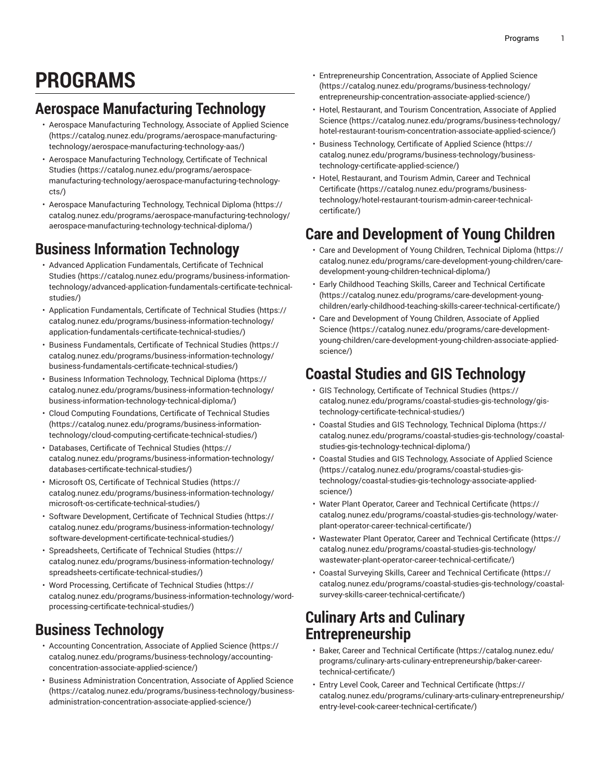# **PROGRAMS**

# **Aerospace Manufacturing Technology**

- Aerospace [Manufacturing](https://catalog.nunez.edu/programs/aerospace-manufacturing-technology/aerospace-manufacturing-technology-aas/) Technology, Associate of Applied Science ([https://catalog.nunez.edu/programs/aerospace-manufacturing](https://catalog.nunez.edu/programs/aerospace-manufacturing-technology/aerospace-manufacturing-technology-aas/)[technology/aerospace-manufacturing-technology-aas/](https://catalog.nunez.edu/programs/aerospace-manufacturing-technology/aerospace-manufacturing-technology-aas/))
- Aerospace [Manufacturing](https://catalog.nunez.edu/programs/aerospace-manufacturing-technology/aerospace-manufacturing-technology-cts/) Technology, Certificate of Technical [Studies](https://catalog.nunez.edu/programs/aerospace-manufacturing-technology/aerospace-manufacturing-technology-cts/) ([https://catalog.nunez.edu/programs/aerospace](https://catalog.nunez.edu/programs/aerospace-manufacturing-technology/aerospace-manufacturing-technology-cts/)[manufacturing-technology/aerospace-manufacturing-technology](https://catalog.nunez.edu/programs/aerospace-manufacturing-technology/aerospace-manufacturing-technology-cts/)[cts/](https://catalog.nunez.edu/programs/aerospace-manufacturing-technology/aerospace-manufacturing-technology-cts/))
- Aerospace [Manufacturing](https://catalog.nunez.edu/programs/aerospace-manufacturing-technology/aerospace-manufacturing-technology-technical-diploma/) Technology, Technical Diploma ([https://](https://catalog.nunez.edu/programs/aerospace-manufacturing-technology/aerospace-manufacturing-technology-technical-diploma/) [catalog.nunez.edu/programs/aerospace-manufacturing-technology/](https://catalog.nunez.edu/programs/aerospace-manufacturing-technology/aerospace-manufacturing-technology-technical-diploma/) [aerospace-manufacturing-technology-technical-diploma/](https://catalog.nunez.edu/programs/aerospace-manufacturing-technology/aerospace-manufacturing-technology-technical-diploma/))

# **Business Information Technology**

- Advanced Application [Fundamentals,](https://catalog.nunez.edu/programs/business-information-technology/advanced-application-fundamentals-certificate-technical-studies/) Certificate of Technical [Studies](https://catalog.nunez.edu/programs/business-information-technology/advanced-application-fundamentals-certificate-technical-studies/) ([https://catalog.nunez.edu/programs/business-information](https://catalog.nunez.edu/programs/business-information-technology/advanced-application-fundamentals-certificate-technical-studies/)[technology/advanced-application-fundamentals-certificate-technical](https://catalog.nunez.edu/programs/business-information-technology/advanced-application-fundamentals-certificate-technical-studies/)[studies/\)](https://catalog.nunez.edu/programs/business-information-technology/advanced-application-fundamentals-certificate-technical-studies/)
- Application [Fundamentals,](https://catalog.nunez.edu/programs/business-information-technology/application-fundamentals-certificate-technical-studies/) Certificate of Technical Studies ([https://](https://catalog.nunez.edu/programs/business-information-technology/application-fundamentals-certificate-technical-studies/) [catalog.nunez.edu/programs/business-information-technology/](https://catalog.nunez.edu/programs/business-information-technology/application-fundamentals-certificate-technical-studies/) [application-fundamentals-certificate-technical-studies/](https://catalog.nunez.edu/programs/business-information-technology/application-fundamentals-certificate-technical-studies/))
- Business [Fundamentals,](https://catalog.nunez.edu/programs/business-information-technology/business-fundamentals-certificate-technical-studies/) Certificate of Technical Studies ([https://](https://catalog.nunez.edu/programs/business-information-technology/business-fundamentals-certificate-technical-studies/) [catalog.nunez.edu/programs/business-information-technology/](https://catalog.nunez.edu/programs/business-information-technology/business-fundamentals-certificate-technical-studies/) [business-fundamentals-certificate-technical-studies/\)](https://catalog.nunez.edu/programs/business-information-technology/business-fundamentals-certificate-technical-studies/)
- Business Information [Technology,](https://catalog.nunez.edu/programs/business-information-technology/business-information-technology-technical-diploma/) Technical Diploma [\(https://](https://catalog.nunez.edu/programs/business-information-technology/business-information-technology-technical-diploma/) [catalog.nunez.edu/programs/business-information-technology/](https://catalog.nunez.edu/programs/business-information-technology/business-information-technology-technical-diploma/) [business-information-technology-technical-diploma/](https://catalog.nunez.edu/programs/business-information-technology/business-information-technology-technical-diploma/))
- Cloud Computing [Foundations,](https://catalog.nunez.edu/programs/business-information-technology/cloud-computing-certificate-technical-studies/) Certificate of Technical Studies ([https://catalog.nunez.edu/programs/business-information](https://catalog.nunez.edu/programs/business-information-technology/cloud-computing-certificate-technical-studies/)[technology/cloud-computing-certificate-technical-studies/](https://catalog.nunez.edu/programs/business-information-technology/cloud-computing-certificate-technical-studies/))
- [Databases,](https://catalog.nunez.edu/programs/business-information-technology/databases-certificate-technical-studies/) Certificate of Technical Studies [\(https://](https://catalog.nunez.edu/programs/business-information-technology/databases-certificate-technical-studies/) [catalog.nunez.edu/programs/business-information-technology/](https://catalog.nunez.edu/programs/business-information-technology/databases-certificate-technical-studies/) [databases-certificate-technical-studies/\)](https://catalog.nunez.edu/programs/business-information-technology/databases-certificate-technical-studies/)
- Microsoft OS, [Certificate](https://catalog.nunez.edu/programs/business-information-technology/microsoft-os-certificate-technical-studies/) of Technical Studies [\(https://](https://catalog.nunez.edu/programs/business-information-technology/microsoft-os-certificate-technical-studies/) [catalog.nunez.edu/programs/business-information-technology/](https://catalog.nunez.edu/programs/business-information-technology/microsoft-os-certificate-technical-studies/) [microsoft-os-certificate-technical-studies/\)](https://catalog.nunez.edu/programs/business-information-technology/microsoft-os-certificate-technical-studies/)
- Software [Development,](https://catalog.nunez.edu/programs/business-information-technology/software-development-certificate-technical-studies/) Certificate of Technical Studies ([https://](https://catalog.nunez.edu/programs/business-information-technology/software-development-certificate-technical-studies/) [catalog.nunez.edu/programs/business-information-technology/](https://catalog.nunez.edu/programs/business-information-technology/software-development-certificate-technical-studies/) [software-development-certificate-technical-studies/\)](https://catalog.nunez.edu/programs/business-information-technology/software-development-certificate-technical-studies/)
- [Spreadsheets,](https://catalog.nunez.edu/programs/business-information-technology/spreadsheets-certificate-technical-studies/) Certificate of Technical Studies ([https://](https://catalog.nunez.edu/programs/business-information-technology/spreadsheets-certificate-technical-studies/) [catalog.nunez.edu/programs/business-information-technology/](https://catalog.nunez.edu/programs/business-information-technology/spreadsheets-certificate-technical-studies/) [spreadsheets-certificate-technical-studies/](https://catalog.nunez.edu/programs/business-information-technology/spreadsheets-certificate-technical-studies/))
- Word [Processing,](https://catalog.nunez.edu/programs/business-information-technology/word-processing-certificate-technical-studies/) Certificate of Technical Studies [\(https://](https://catalog.nunez.edu/programs/business-information-technology/word-processing-certificate-technical-studies/) [catalog.nunez.edu/programs/business-information-technology/word](https://catalog.nunez.edu/programs/business-information-technology/word-processing-certificate-technical-studies/)[processing-certificate-technical-studies/](https://catalog.nunez.edu/programs/business-information-technology/word-processing-certificate-technical-studies/))

# **Business Technology**

- [Accounting Concentration, Associate of Applied Science](https://catalog.nunez.edu/programs/business-technology/accounting-concentration-associate-applied-science/) ([https://](https://catalog.nunez.edu/programs/business-technology/accounting-concentration-associate-applied-science/) [catalog.nunez.edu/programs/business-technology/accounting](https://catalog.nunez.edu/programs/business-technology/accounting-concentration-associate-applied-science/)[concentration-associate-applied-science/\)](https://catalog.nunez.edu/programs/business-technology/accounting-concentration-associate-applied-science/)
- [Business Administration Concentration, Associate of Applied Science](https://catalog.nunez.edu/programs/business-technology/business-administration-concentration-associate-applied-science/) ([https://catalog.nunez.edu/programs/business-technology/business](https://catalog.nunez.edu/programs/business-technology/business-administration-concentration-associate-applied-science/)[administration-concentration-associate-applied-science/](https://catalog.nunez.edu/programs/business-technology/business-administration-concentration-associate-applied-science/))
- [Entrepreneurship](https://catalog.nunez.edu/programs/business-technology/entrepreneurship-concentration-associate-applied-science/) Concentration, Associate of Applied Science [\(https://catalog.nunez.edu/programs/business-technology/](https://catalog.nunez.edu/programs/business-technology/entrepreneurship-concentration-associate-applied-science/) [entrepreneurship-concentration-associate-applied-science/\)](https://catalog.nunez.edu/programs/business-technology/entrepreneurship-concentration-associate-applied-science/)
- Hotel, Restaurant, and Tourism [Concentration,](https://catalog.nunez.edu/programs/business-technology/hotel-restaurant-tourism-concentration-associate-applied-science/) Associate of Applied [Science \(https://catalog.nunez.edu/programs/business-technology/](https://catalog.nunez.edu/programs/business-technology/hotel-restaurant-tourism-concentration-associate-applied-science/) [hotel-restaurant-tourism-concentration-associate-applied-science/\)](https://catalog.nunez.edu/programs/business-technology/hotel-restaurant-tourism-concentration-associate-applied-science/)
- Business [Technology,](https://catalog.nunez.edu/programs/business-technology/business-technology-certificate-applied-science/) Certificate of Applied Science [\(https://](https://catalog.nunez.edu/programs/business-technology/business-technology-certificate-applied-science/) [catalog.nunez.edu/programs/business-technology/business](https://catalog.nunez.edu/programs/business-technology/business-technology-certificate-applied-science/)[technology-certificate-applied-science/](https://catalog.nunez.edu/programs/business-technology/business-technology-certificate-applied-science/))
- Hotel, [Restaurant,](https://catalog.nunez.edu/programs/business-technology/hotel-restaurant-tourism-admin-career-technical-certificate/) and Tourism Admin, Career and Technical [Certificate](https://catalog.nunez.edu/programs/business-technology/hotel-restaurant-tourism-admin-career-technical-certificate/) ([https://catalog.nunez.edu/programs/business](https://catalog.nunez.edu/programs/business-technology/hotel-restaurant-tourism-admin-career-technical-certificate/)[technology/hotel-restaurant-tourism-admin-career-technical](https://catalog.nunez.edu/programs/business-technology/hotel-restaurant-tourism-admin-career-technical-certificate/)[certificate/\)](https://catalog.nunez.edu/programs/business-technology/hotel-restaurant-tourism-admin-career-technical-certificate/)

# **Care and Development of Young Children**

- Care and [Development](https://catalog.nunez.edu/programs/care-development-young-children/care-development-young-children-technical-diploma/) of Young Children, Technical Diploma ([https://](https://catalog.nunez.edu/programs/care-development-young-children/care-development-young-children-technical-diploma/) [catalog.nunez.edu/programs/care-development-young-children/care](https://catalog.nunez.edu/programs/care-development-young-children/care-development-young-children-technical-diploma/)[development-young-children-technical-diploma/\)](https://catalog.nunez.edu/programs/care-development-young-children/care-development-young-children-technical-diploma/)
- Early Childhood Teaching Skills, Career and Technical [Certificate](https://catalog.nunez.edu/programs/care-development-young-children/early-childhood-teaching-skills-career-technical-certificate/) [\(https://catalog.nunez.edu/programs/care-development-young](https://catalog.nunez.edu/programs/care-development-young-children/early-childhood-teaching-skills-career-technical-certificate/)[children/early-childhood-teaching-skills-career-technical-certificate/](https://catalog.nunez.edu/programs/care-development-young-children/early-childhood-teaching-skills-career-technical-certificate/))
- Care and [Development](https://catalog.nunez.edu/programs/care-development-young-children/care-development-young-children-associate-applied-science/) of Young Children, Associate of Applied [Science \(https://catalog.nunez.edu/programs/care-development](https://catalog.nunez.edu/programs/care-development-young-children/care-development-young-children-associate-applied-science/)[young-children/care-development-young-children-associate-applied](https://catalog.nunez.edu/programs/care-development-young-children/care-development-young-children-associate-applied-science/)[science/](https://catalog.nunez.edu/programs/care-development-young-children/care-development-young-children-associate-applied-science/))

# **Coastal Studies and GIS Technology**

- GIS [Technology,](https://catalog.nunez.edu/programs/coastal-studies-gis-technology/gis-technology-certificate-technical-studies/) Certificate of Technical Studies [\(https://](https://catalog.nunez.edu/programs/coastal-studies-gis-technology/gis-technology-certificate-technical-studies/) [catalog.nunez.edu/programs/coastal-studies-gis-technology/gis](https://catalog.nunez.edu/programs/coastal-studies-gis-technology/gis-technology-certificate-technical-studies/)[technology-certificate-technical-studies/\)](https://catalog.nunez.edu/programs/coastal-studies-gis-technology/gis-technology-certificate-technical-studies/)
- Coastal Studies and GIS [Technology,](https://catalog.nunez.edu/programs/coastal-studies-gis-technology/coastal-studies-gis-technology-technical-diploma/) Technical Diploma [\(https://](https://catalog.nunez.edu/programs/coastal-studies-gis-technology/coastal-studies-gis-technology-technical-diploma/) [catalog.nunez.edu/programs/coastal-studies-gis-technology/coastal](https://catalog.nunez.edu/programs/coastal-studies-gis-technology/coastal-studies-gis-technology-technical-diploma/)[studies-gis-technology-technical-diploma/\)](https://catalog.nunez.edu/programs/coastal-studies-gis-technology/coastal-studies-gis-technology-technical-diploma/)
- Coastal Studies and GIS [Technology,](https://catalog.nunez.edu/programs/coastal-studies-gis-technology/coastal-studies-gis-technology-associate-applied-science/) Associate of Applied Science [\(https://catalog.nunez.edu/programs/coastal-studies-gis](https://catalog.nunez.edu/programs/coastal-studies-gis-technology/coastal-studies-gis-technology-associate-applied-science/)[technology/coastal-studies-gis-technology-associate-applied](https://catalog.nunez.edu/programs/coastal-studies-gis-technology/coastal-studies-gis-technology-associate-applied-science/)[science/](https://catalog.nunez.edu/programs/coastal-studies-gis-technology/coastal-studies-gis-technology-associate-applied-science/))
- Water Plant Operator, Career and Technical [Certificate \(https://](https://catalog.nunez.edu/programs/coastal-studies-gis-technology/water-plant-operator-career-technical-certificate/) [catalog.nunez.edu/programs/coastal-studies-gis-technology/water](https://catalog.nunez.edu/programs/coastal-studies-gis-technology/water-plant-operator-career-technical-certificate/)[plant-operator-career-technical-certificate/\)](https://catalog.nunez.edu/programs/coastal-studies-gis-technology/water-plant-operator-career-technical-certificate/)
- [Wastewater](https://catalog.nunez.edu/programs/coastal-studies-gis-technology/wastewater-plant-operator-career-technical-certificate/) Plant Operator, Career and Technical Certificate ([https://](https://catalog.nunez.edu/programs/coastal-studies-gis-technology/wastewater-plant-operator-career-technical-certificate/) [catalog.nunez.edu/programs/coastal-studies-gis-technology/](https://catalog.nunez.edu/programs/coastal-studies-gis-technology/wastewater-plant-operator-career-technical-certificate/) [wastewater-plant-operator-career-technical-certificate/\)](https://catalog.nunez.edu/programs/coastal-studies-gis-technology/wastewater-plant-operator-career-technical-certificate/)
- Coastal Surveying Skills, Career and Technical [Certificate](https://catalog.nunez.edu/programs/coastal-studies-gis-technology/coastal-survey-skills-career-technical-certificate/) ([https://](https://catalog.nunez.edu/programs/coastal-studies-gis-technology/coastal-survey-skills-career-technical-certificate/) [catalog.nunez.edu/programs/coastal-studies-gis-technology/coastal](https://catalog.nunez.edu/programs/coastal-studies-gis-technology/coastal-survey-skills-career-technical-certificate/)[survey-skills-career-technical-certificate/](https://catalog.nunez.edu/programs/coastal-studies-gis-technology/coastal-survey-skills-career-technical-certificate/))

#### **Culinary Arts and Culinary Entrepreneurship**

- Baker, Career and Technical [Certificate](https://catalog.nunez.edu/programs/culinary-arts-culinary-entrepreneurship/baker-career-technical-certificate/) ([https://catalog.nunez.edu/](https://catalog.nunez.edu/programs/culinary-arts-culinary-entrepreneurship/baker-career-technical-certificate/) [programs/culinary-arts-culinary-entrepreneurship/baker-career](https://catalog.nunez.edu/programs/culinary-arts-culinary-entrepreneurship/baker-career-technical-certificate/)[technical-certificate/\)](https://catalog.nunez.edu/programs/culinary-arts-culinary-entrepreneurship/baker-career-technical-certificate/)
- Entry Level Cook, Career and Technical [Certificate \(https://](https://catalog.nunez.edu/programs/culinary-arts-culinary-entrepreneurship/entry-level-cook-career-technical-certificate/) [catalog.nunez.edu/programs/culinary-arts-culinary-entrepreneurship/](https://catalog.nunez.edu/programs/culinary-arts-culinary-entrepreneurship/entry-level-cook-career-technical-certificate/) [entry-level-cook-career-technical-certificate/](https://catalog.nunez.edu/programs/culinary-arts-culinary-entrepreneurship/entry-level-cook-career-technical-certificate/))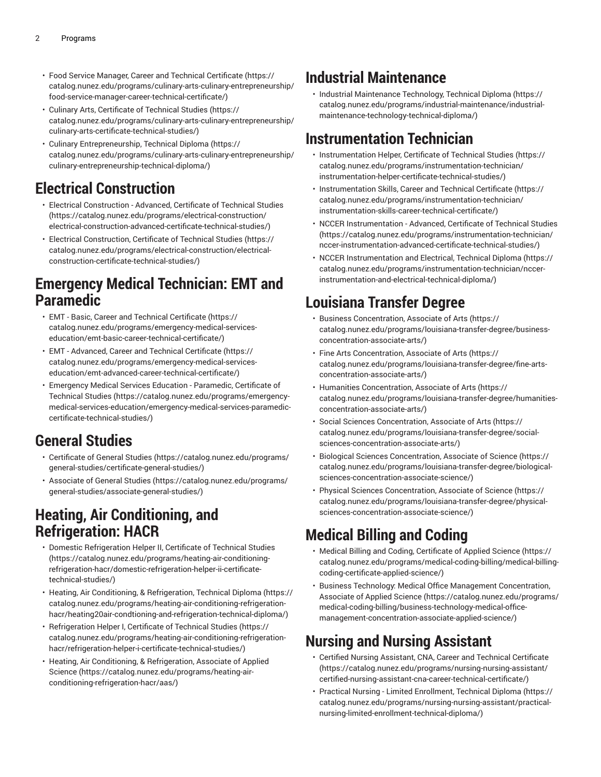- Food Service Manager, Career and Technical [Certificate \(https://](https://catalog.nunez.edu/programs/culinary-arts-culinary-entrepreneurship/food-service-manager-career-technical-certificate/) [catalog.nunez.edu/programs/culinary-arts-culinary-entrepreneurship/](https://catalog.nunez.edu/programs/culinary-arts-culinary-entrepreneurship/food-service-manager-career-technical-certificate/) [food-service-manager-career-technical-certificate/\)](https://catalog.nunez.edu/programs/culinary-arts-culinary-entrepreneurship/food-service-manager-career-technical-certificate/)
- Culinary Arts, [Certificate](https://catalog.nunez.edu/programs/culinary-arts-culinary-entrepreneurship/culinary-arts-certificate-technical-studies/) of Technical Studies [\(https://](https://catalog.nunez.edu/programs/culinary-arts-culinary-entrepreneurship/culinary-arts-certificate-technical-studies/) [catalog.nunez.edu/programs/culinary-arts-culinary-entrepreneurship/](https://catalog.nunez.edu/programs/culinary-arts-culinary-entrepreneurship/culinary-arts-certificate-technical-studies/) [culinary-arts-certificate-technical-studies/](https://catalog.nunez.edu/programs/culinary-arts-culinary-entrepreneurship/culinary-arts-certificate-technical-studies/))
- Culinary [Entrepreneurship,](https://catalog.nunez.edu/programs/culinary-arts-culinary-entrepreneurship/culinary-entrepreneurship-technical-diploma/) Technical Diploma [\(https://](https://catalog.nunez.edu/programs/culinary-arts-culinary-entrepreneurship/culinary-entrepreneurship-technical-diploma/) [catalog.nunez.edu/programs/culinary-arts-culinary-entrepreneurship/](https://catalog.nunez.edu/programs/culinary-arts-culinary-entrepreneurship/culinary-entrepreneurship-technical-diploma/) [culinary-entrepreneurship-technical-diploma/\)](https://catalog.nunez.edu/programs/culinary-arts-culinary-entrepreneurship/culinary-entrepreneurship-technical-diploma/)

### **Electrical Construction**

- Electrical [Construction](https://catalog.nunez.edu/programs/electrical-construction/electrical-construction-advanced-certificate-technical-studies/) Advanced, Certificate of Technical Studies ([https://catalog.nunez.edu/programs/electrical-construction/](https://catalog.nunez.edu/programs/electrical-construction/electrical-construction-advanced-certificate-technical-studies/) [electrical-construction-advanced-certificate-technical-studies/](https://catalog.nunez.edu/programs/electrical-construction/electrical-construction-advanced-certificate-technical-studies/))
- Electrical [Construction,](https://catalog.nunez.edu/programs/electrical-construction/electrical-construction-certificate-technical-studies/) Certificate of Technical Studies ([https://](https://catalog.nunez.edu/programs/electrical-construction/electrical-construction-certificate-technical-studies/) [catalog.nunez.edu/programs/electrical-construction/electrical](https://catalog.nunez.edu/programs/electrical-construction/electrical-construction-certificate-technical-studies/)[construction-certificate-technical-studies/](https://catalog.nunez.edu/programs/electrical-construction/electrical-construction-certificate-technical-studies/))

#### **Emergency Medical Technician: EMT and Paramedic**

- EMT Basic, Career and Technical [Certificate](https://catalog.nunez.edu/programs/emergency-medical-services-education/emt-basic-career-technical-certificate/) ([https://](https://catalog.nunez.edu/programs/emergency-medical-services-education/emt-basic-career-technical-certificate/) [catalog.nunez.edu/programs/emergency-medical-services](https://catalog.nunez.edu/programs/emergency-medical-services-education/emt-basic-career-technical-certificate/)[education/emt-basic-career-technical-certificate/](https://catalog.nunez.edu/programs/emergency-medical-services-education/emt-basic-career-technical-certificate/))
- EMT [Advanced,](https://catalog.nunez.edu/programs/emergency-medical-services-education/emt-advanced-career-technical-certificate/) Career and Technical Certificate [\(https://](https://catalog.nunez.edu/programs/emergency-medical-services-education/emt-advanced-career-technical-certificate/) [catalog.nunez.edu/programs/emergency-medical-services](https://catalog.nunez.edu/programs/emergency-medical-services-education/emt-advanced-career-technical-certificate/)[education/emt-advanced-career-technical-certificate/\)](https://catalog.nunez.edu/programs/emergency-medical-services-education/emt-advanced-career-technical-certificate/)
- Emergency Medical Services Education [Paramedic,](https://catalog.nunez.edu/programs/emergency-medical-services-education/emergency-medical-services-paramedic-certificate-technical-studies/) Certificate of [Technical](https://catalog.nunez.edu/programs/emergency-medical-services-education/emergency-medical-services-paramedic-certificate-technical-studies/) Studies [\(https://catalog.nunez.edu/programs/emergency](https://catalog.nunez.edu/programs/emergency-medical-services-education/emergency-medical-services-paramedic-certificate-technical-studies/)[medical-services-education/emergency-medical-services-paramedic](https://catalog.nunez.edu/programs/emergency-medical-services-education/emergency-medical-services-paramedic-certificate-technical-studies/)[certificate-technical-studies/](https://catalog.nunez.edu/programs/emergency-medical-services-education/emergency-medical-services-paramedic-certificate-technical-studies/))

### **General Studies**

- [Certificate](https://catalog.nunez.edu/programs/general-studies/certificate-general-studies/) of General Studies ([https://catalog.nunez.edu/programs/](https://catalog.nunez.edu/programs/general-studies/certificate-general-studies/) [general-studies/certificate-general-studies/](https://catalog.nunez.edu/programs/general-studies/certificate-general-studies/))
- [Associate of General Studies \(https://catalog.nunez.edu/programs/](https://catalog.nunez.edu/programs/general-studies/associate-general-studies/) [general-studies/associate-general-studies/](https://catalog.nunez.edu/programs/general-studies/associate-general-studies/))

#### **Heating, Air Conditioning, and Refrigeration: HACR**

- Domestic [Refrigeration](https://catalog.nunez.edu/programs/heating-air-conditioning-refrigeration-hacr/domestic-refrigeration-helper-ii-certificate-technical-studies/) Helper II, Certificate of Technical Studies ([https://catalog.nunez.edu/programs/heating-air-conditioning](https://catalog.nunez.edu/programs/heating-air-conditioning-refrigeration-hacr/domestic-refrigeration-helper-ii-certificate-technical-studies/)[refrigeration-hacr/domestic-refrigeration-helper-ii-certificate](https://catalog.nunez.edu/programs/heating-air-conditioning-refrigeration-hacr/domestic-refrigeration-helper-ii-certificate-technical-studies/)[technical-studies/\)](https://catalog.nunez.edu/programs/heating-air-conditioning-refrigeration-hacr/domestic-refrigeration-helper-ii-certificate-technical-studies/)
- Heating, Air Conditioning, & [Refrigeration,](https://catalog.nunez.edu/programs/heating-air-conditioning-refrigeration-hacr/heating20air-condtioning-and-refrigeration-technical-diploma/) Technical Diploma [\(https://](https://catalog.nunez.edu/programs/heating-air-conditioning-refrigeration-hacr/heating20air-condtioning-and-refrigeration-technical-diploma/) [catalog.nunez.edu/programs/heating-air-conditioning-refrigeration](https://catalog.nunez.edu/programs/heating-air-conditioning-refrigeration-hacr/heating20air-condtioning-and-refrigeration-technical-diploma/)[hacr/heating20air-condtioning-and-refrigeration-technical-diploma/](https://catalog.nunez.edu/programs/heating-air-conditioning-refrigeration-hacr/heating20air-condtioning-and-refrigeration-technical-diploma/))
- [Refrigeration](https://catalog.nunez.edu/programs/heating-air-conditioning-refrigeration-hacr/refrigeration-helper-i-certificate-technical-studies/) Helper I, Certificate of Technical Studies ([https://](https://catalog.nunez.edu/programs/heating-air-conditioning-refrigeration-hacr/refrigeration-helper-i-certificate-technical-studies/) [catalog.nunez.edu/programs/heating-air-conditioning-refrigeration](https://catalog.nunez.edu/programs/heating-air-conditioning-refrigeration-hacr/refrigeration-helper-i-certificate-technical-studies/)[hacr/refrigeration-helper-i-certificate-technical-studies/](https://catalog.nunez.edu/programs/heating-air-conditioning-refrigeration-hacr/refrigeration-helper-i-certificate-technical-studies/))
- [Heating, Air Conditioning, & Refrigeration, Associate of Applied](https://catalog.nunez.edu/programs/heating-air-conditioning-refrigeration-hacr/aas/) [Science](https://catalog.nunez.edu/programs/heating-air-conditioning-refrigeration-hacr/aas/) [\(https://catalog.nunez.edu/programs/heating-air](https://catalog.nunez.edu/programs/heating-air-conditioning-refrigeration-hacr/aas/)[conditioning-refrigeration-hacr/aas/\)](https://catalog.nunez.edu/programs/heating-air-conditioning-refrigeration-hacr/aas/)

#### **Industrial Maintenance**

• Industrial [Maintenance](https://catalog.nunez.edu/programs/industrial-maintenance/industrial-maintenance-technology-technical-diploma/) Technology, Technical Diploma ([https://](https://catalog.nunez.edu/programs/industrial-maintenance/industrial-maintenance-technology-technical-diploma/) [catalog.nunez.edu/programs/industrial-maintenance/industrial](https://catalog.nunez.edu/programs/industrial-maintenance/industrial-maintenance-technology-technical-diploma/)[maintenance-technology-technical-diploma/](https://catalog.nunez.edu/programs/industrial-maintenance/industrial-maintenance-technology-technical-diploma/))

# **Instrumentation Technician**

- [Instrumentation](https://catalog.nunez.edu/programs/instrumentation-technician/instrumentation-helper-certificate-technical-studies/) Helper, Certificate of Technical Studies [\(https://](https://catalog.nunez.edu/programs/instrumentation-technician/instrumentation-helper-certificate-technical-studies/) [catalog.nunez.edu/programs/instrumentation-technician/](https://catalog.nunez.edu/programs/instrumentation-technician/instrumentation-helper-certificate-technical-studies/) [instrumentation-helper-certificate-technical-studies/\)](https://catalog.nunez.edu/programs/instrumentation-technician/instrumentation-helper-certificate-technical-studies/)
- [Instrumentation](https://catalog.nunez.edu/programs/instrumentation-technician/instrumentation-skills-career-technical-certificate/) Skills, Career and Technical Certificate ([https://](https://catalog.nunez.edu/programs/instrumentation-technician/instrumentation-skills-career-technical-certificate/) [catalog.nunez.edu/programs/instrumentation-technician/](https://catalog.nunez.edu/programs/instrumentation-technician/instrumentation-skills-career-technical-certificate/) [instrumentation-skills-career-technical-certificate/](https://catalog.nunez.edu/programs/instrumentation-technician/instrumentation-skills-career-technical-certificate/))
- NCCER [Instrumentation](https://catalog.nunez.edu/programs/instrumentation-technician/nccer-instrumentation-advanced-certificate-technical-studies/) Advanced, Certificate of Technical Studies [\(https://catalog.nunez.edu/programs/instrumentation-technician/](https://catalog.nunez.edu/programs/instrumentation-technician/nccer-instrumentation-advanced-certificate-technical-studies/) [nccer-instrumentation-advanced-certificate-technical-studies/](https://catalog.nunez.edu/programs/instrumentation-technician/nccer-instrumentation-advanced-certificate-technical-studies/))
- NCCER [Instrumentation](https://catalog.nunez.edu/programs/instrumentation-technician/nccer-instrumentation-and-electrical-technical-diploma/) and Electrical, Technical Diploma [\(https://](https://catalog.nunez.edu/programs/instrumentation-technician/nccer-instrumentation-and-electrical-technical-diploma/) [catalog.nunez.edu/programs/instrumentation-technician/nccer](https://catalog.nunez.edu/programs/instrumentation-technician/nccer-instrumentation-and-electrical-technical-diploma/)[instrumentation-and-electrical-technical-diploma/](https://catalog.nunez.edu/programs/instrumentation-technician/nccer-instrumentation-and-electrical-technical-diploma/))

# **Louisiana Transfer Degree**

- Business [Concentration,](https://catalog.nunez.edu/programs/louisiana-transfer-degree/business-concentration-associate-arts/) Associate of Arts [\(https://](https://catalog.nunez.edu/programs/louisiana-transfer-degree/business-concentration-associate-arts/) [catalog.nunez.edu/programs/louisiana-transfer-degree/business](https://catalog.nunez.edu/programs/louisiana-transfer-degree/business-concentration-associate-arts/)[concentration-associate-arts/](https://catalog.nunez.edu/programs/louisiana-transfer-degree/business-concentration-associate-arts/))
- Fine Arts [Concentration,](https://catalog.nunez.edu/programs/louisiana-transfer-degree/fine-arts-concentration-associate-arts/) Associate of Arts ([https://](https://catalog.nunez.edu/programs/louisiana-transfer-degree/fine-arts-concentration-associate-arts/) [catalog.nunez.edu/programs/louisiana-transfer-degree/fine-arts](https://catalog.nunez.edu/programs/louisiana-transfer-degree/fine-arts-concentration-associate-arts/)[concentration-associate-arts/](https://catalog.nunez.edu/programs/louisiana-transfer-degree/fine-arts-concentration-associate-arts/))
- Humanities [Concentration,](https://catalog.nunez.edu/programs/louisiana-transfer-degree/humanities-concentration-associate-arts/) Associate of Arts ([https://](https://catalog.nunez.edu/programs/louisiana-transfer-degree/humanities-concentration-associate-arts/) [catalog.nunez.edu/programs/louisiana-transfer-degree/humanities](https://catalog.nunez.edu/programs/louisiana-transfer-degree/humanities-concentration-associate-arts/)[concentration-associate-arts/](https://catalog.nunez.edu/programs/louisiana-transfer-degree/humanities-concentration-associate-arts/))
- Social Sciences [Concentration,](https://catalog.nunez.edu/programs/louisiana-transfer-degree/social-sciences-concentration-associate-arts/) Associate of Arts [\(https://](https://catalog.nunez.edu/programs/louisiana-transfer-degree/social-sciences-concentration-associate-arts/) [catalog.nunez.edu/programs/louisiana-transfer-degree/social](https://catalog.nunez.edu/programs/louisiana-transfer-degree/social-sciences-concentration-associate-arts/)[sciences-concentration-associate-arts/](https://catalog.nunez.edu/programs/louisiana-transfer-degree/social-sciences-concentration-associate-arts/))
- [Biological Sciences Concentration, Associate of Science](https://catalog.nunez.edu/programs/louisiana-transfer-degree/biological-sciences-concentration-associate-science/) ([https://](https://catalog.nunez.edu/programs/louisiana-transfer-degree/biological-sciences-concentration-associate-science/) [catalog.nunez.edu/programs/louisiana-transfer-degree/biological](https://catalog.nunez.edu/programs/louisiana-transfer-degree/biological-sciences-concentration-associate-science/)[sciences-concentration-associate-science/\)](https://catalog.nunez.edu/programs/louisiana-transfer-degree/biological-sciences-concentration-associate-science/)
- [Physical Sciences Concentration, Associate of Science](https://catalog.nunez.edu/programs/louisiana-transfer-degree/physical-sciences-concentration-associate-science/) [\(https://](https://catalog.nunez.edu/programs/louisiana-transfer-degree/physical-sciences-concentration-associate-science/) [catalog.nunez.edu/programs/louisiana-transfer-degree/physical](https://catalog.nunez.edu/programs/louisiana-transfer-degree/physical-sciences-concentration-associate-science/)[sciences-concentration-associate-science/\)](https://catalog.nunez.edu/programs/louisiana-transfer-degree/physical-sciences-concentration-associate-science/)

# **Medical Billing and Coding**

- Medical Billing and Coding, [Certificate](https://catalog.nunez.edu/programs/medical-coding-billing/medical-billing-coding-certificate-applied-science/) of Applied Science ([https://](https://catalog.nunez.edu/programs/medical-coding-billing/medical-billing-coding-certificate-applied-science/) [catalog.nunez.edu/programs/medical-coding-billing/medical-billing](https://catalog.nunez.edu/programs/medical-coding-billing/medical-billing-coding-certificate-applied-science/)[coding-certificate-applied-science/\)](https://catalog.nunez.edu/programs/medical-coding-billing/medical-billing-coding-certificate-applied-science/)
- Business Technology: Medical Office Management [Concentration,](https://catalog.nunez.edu/programs/medical-coding-billing/business-technology-medical-office-management-concentration-associate-applied-science/) [Associate of Applied Science \(https://catalog.nunez.edu/programs/](https://catalog.nunez.edu/programs/medical-coding-billing/business-technology-medical-office-management-concentration-associate-applied-science/) [medical-coding-billing/business-technology-medical-office](https://catalog.nunez.edu/programs/medical-coding-billing/business-technology-medical-office-management-concentration-associate-applied-science/)[management-concentration-associate-applied-science/\)](https://catalog.nunez.edu/programs/medical-coding-billing/business-technology-medical-office-management-concentration-associate-applied-science/)

# **Nursing and Nursing Assistant**

- Certified Nursing Assistant, CNA, Career and Technical [Certificate](https://catalog.nunez.edu/programs/nursing-nursing-assistant/certified-nursing-assistant-cna-career-technical-certificate/) [\(https://catalog.nunez.edu/programs/nursing-nursing-assistant/](https://catalog.nunez.edu/programs/nursing-nursing-assistant/certified-nursing-assistant-cna-career-technical-certificate/) [certified-nursing-assistant-cna-career-technical-certificate/](https://catalog.nunez.edu/programs/nursing-nursing-assistant/certified-nursing-assistant-cna-career-technical-certificate/))
- Practical Nursing Limited [Enrollment,](https://catalog.nunez.edu/programs/nursing-nursing-assistant/practical-nursing-limited-enrollment-technical-diploma/) Technical Diploma ([https://](https://catalog.nunez.edu/programs/nursing-nursing-assistant/practical-nursing-limited-enrollment-technical-diploma/) [catalog.nunez.edu/programs/nursing-nursing-assistant/practical](https://catalog.nunez.edu/programs/nursing-nursing-assistant/practical-nursing-limited-enrollment-technical-diploma/)[nursing-limited-enrollment-technical-diploma/\)](https://catalog.nunez.edu/programs/nursing-nursing-assistant/practical-nursing-limited-enrollment-technical-diploma/)